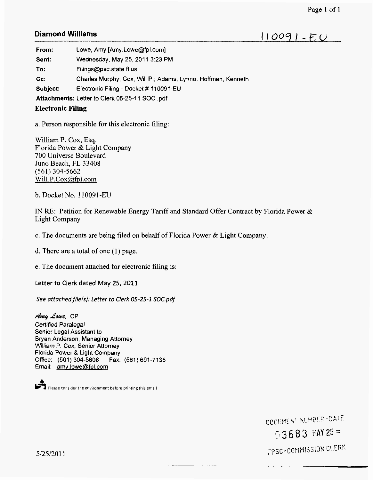## **Diamond Williams**

 $110091 - EU$ 

**From:** Lowe, Amy [Amy.Lowe@fpl.com]

**Sent:**  Wednesday, May 25,2011 3:23 PM

**To:** Filings@psc.state.fl.us

**cc:**  Charles Murphy; Cox, Will P.; Adams, Lynne; Hoffman, Kenneth

**Subject:**  Electronic Filing - Docket # 110091-EU

**Attachments:** Letter to Clerk 05-25-1 1 *SOC* .pdf

## **Electronic Filing**

a. Person responsible for this electronic filing:

William P. Cox, **Esq.**  Florida Power & Light Company 700 Universe Boulevard Juno Beach, FL 33408 Will.P.Cox@fpl.com (561) 304-5662

b. Docket No. 1 10091 -EU

IN RE: Petition for Renewable Energy Tariff and Standard Offer Contract by Florida Power & Light Company

c. The documents are being filed on behalf of Florida Power & Light Company.

d. There are a total of one (1) page.

*e.* The document attached for electronic filing is:

Letter to Clerk dated **May** *25,* 2011

*See ottochedfile(s): Letter to Clerk 05-25-1 S0C.pdf* 

*AmyAuue.* CP Certified Paralegal Senior Legal Assistant to Bryan Anderson, Managing Attorney William P. Cox, Senior Attorney Florida Power *8.* Light Company Office: (561) 304-5608 Fax: (561) 691-7135 Email: amv.Iowe@fol.com

Please consider the environment before printing this email

DOCUMENT NUMBER-DATE  $03683$  HAY 25 = FPSC-COMMISSION CLERK